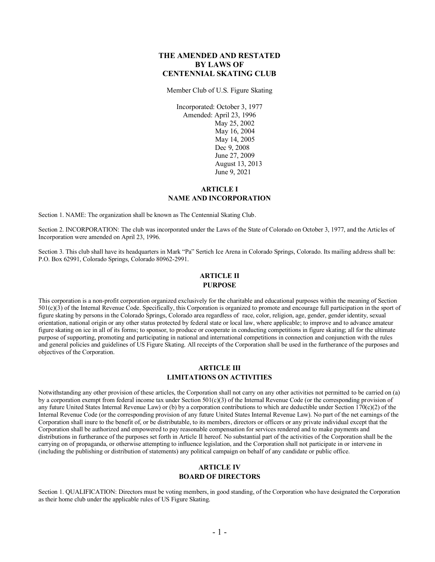## **THE AMENDED AND RESTATED BY LAWS OF CENTENNIAL SKATING CLUB**

Member Club of U.S. Figure Skating

Incorporated: October 3, 1977 Amended: April 23, 1996 May 25, 2002 May 16, 2004 May 14, 2005 Dec 9, 2008 June 27, 2009 August 13, 2013 June 9, 2021

### **ARTICLE I NAME AND INCORPORATION**

Section 1. NAME: The organization shall be known as The Centennial Skating Club.

Section 2. INCORPORATION: The club was incorporated under the Laws of the State of Colorado on October 3, 1977, and the Articles of Incorporation were amended on April 23, 1996.

Section 3. This club shall have its headquarters in Mark "Pa" Sertich Ice Arena in Colorado Springs, Colorado. Its mailing address shall be: P.O. Box 62991, Colorado Springs, Colorado 80962-2991.

## **ARTICLE II PURPOSE**

This corporation is a non-profit corporation organized exclusively for the charitable and educational purposes within the meaning of Section 501(c)(3) of the Internal Revenue Code. Specifically, this Corporation is organized to promote and encourage full participation in the sport of figure skating by persons in the Colorado Springs, Colorado area regardless of race, color, religion, age, gender, gender identity, sexual orientation, national origin or any other status protected by federal state or local law, where applicable; to improve and to advance amateur figure skating on ice in all of its forms; to sponsor, to produce or cooperate in conducting competitions in figure skating; all for the ultimate purpose of supporting, promoting and participating in national and international competitions in connection and conjunction with the rules and general policies and guidelines of US Figure Skating. All receipts of the Corporation shall be used in the furtherance of the purposes and objectives of the Corporation.

#### **ARTICLE III LIMITATIONS ON ACTIVITIES**

Notwithstanding any other provision of these articles, the Corporation shall not carry on any other activities not permitted to be carried on (a) by a corporation exempt from federal income tax under Section 501(c)(3) of the Internal Revenue Code (or the corresponding provision of any future United States Internal Revenue Law) or (b) by a corporation contributions to which are deductible under Section  $170(c)(2)$  of the Internal Revenue Code (or the corresponding provision of any future United States Internal Revenue Law). No part of the net earnings of the Corporation shall inure to the benefit of, or be distributable, to its members, directors or officers or any private individual except that the Corporation shall be authorized and empowered to pay reasonable compensation for services rendered and to make payments and distributions in furtherance of the purposes set forth in Article II hereof. No substantial part of the activities of the Corporation shall be the carrying on of propaganda, or otherwise attempting to influence legislation, and the Corporation shall not participate in or intervene in (including the publishing or distribution of statements) any political campaign on behalf of any candidate or public office.

### **ARTICLE IV BOARD OF DIRECTORS**

Section 1. QUALIFICATION: Directors must be voting members, in good standing, of the Corporation who have designated the Corporation as their home club under the applicable rules of US Figure Skating.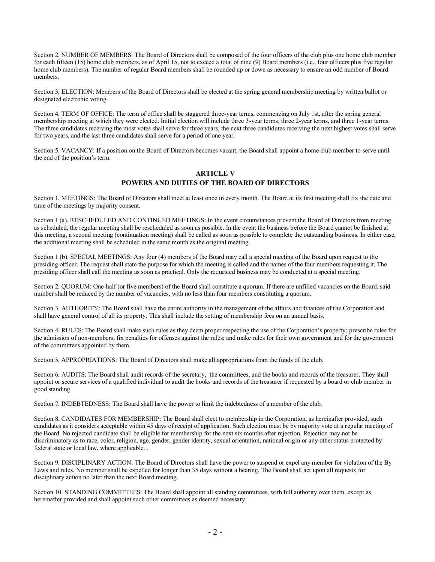Section 2. NUMBER OF MEMBERS: The Board of Directors shall be composed of the four officers of the club plus one home club member for each fifteen (15) home club members, as of April 15, not to exceed a total of nine (9) Board members (i.e., four officers plus five regular home club members). The number of regular Board members shall be rounded up or down as necessary to ensure an odd number of Board members.

Section 3, ELECTION: Members of the Board of Directors shall be elected at the spring general membership meeting by written ballot or designated electronic voting.

Section 4. TERM OF OFFICE: The term of office shall be staggered three-year terms, commencing on July 1st, after the spring general membership meeting at which they were elected. Initial election will include three 3-year terms, three 2-year terms, and three 1-year terms. The three candidates receiving the most votes shall serve for three years, the next three candidates receiving the next highest votes shall serve for two years, and the last three candidates shall serve for a period of one year.

Section 5. VACANCY: If a position on the Board of Directors becomes vacant, the Board shall appoint a home club member to serve until the end of the position's term.

#### **ARTICLE V POWERS AND DUTIES OF THE BOARD OF DIRECTORS**

Section 1. MEETINGS: The Board of Directors shall meet at least once in every month. The Board at its first meeting shall fix the date and time of the meetings by majority consent.

Section 1 (a). RESCHEDULED AND CONTINUED MEETINGS: In the event circumstances prevent the Board of Directors from meeting as scheduled, the regular meeting shall be rescheduled as soon as possible. In the event the business before the Board cannot be finished at this meeting, a second meeting (continuation meeting) shall be called as soon as possible to complete the outstanding business. In either case, the additional meeting shall be scheduled in the same month as the original meeting.

Section 1 (b). SPECIAL MEETINGS: Any four (4) members of the Board may call a special meeting of the Board upon request to the presiding officer. The request shall state the purpose for which the meeting is called and the names of the four members requesting it. The presiding officer shall call the meeting as soon as practical. Only the requested business may be conducted at a special meeting.

Section 2. QUORUM: One-half (or five members) of the Board shall constitute a quorum. If there are unfilled vacancies on the Board, said number shall be reduced by the number of vacancies, with no less than four members constituting a quorum.

Section 3. AUTHORITY: The Board shall have the entire authority in the management of the affairs and finances of the Corporation and shall have general control of all its property. This shall include the setting of membership fees on an annual basis.

Section 4. RULES: The Board shall make such rules as they deem proper respecting the use of the Corporation's property; prescribe rules for the admission of non-members; fix penalties for offenses against the rules; and make rules for their own government and for the government of the committees appointed by them.

Section 5. APPROPRIATIONS: The Board of Directors shall make all appropriations from the funds of the club.

Section 6. AUDITS: The Board shall audit records of the secretary, the committees, and the books and records of the treasurer. They shall appoint or secure services of a qualified individual to audit the books and records of the treasurer if requested by a board or club member in good standing.

Section 7. INDEBTEDNESS: The Board shall have the power to limit the indebtedness of a member of the club.

Section 8. CANDIDATES FOR MEMBERSHIP: The Board shall elect to membership in the Corporation, as hereinafter provided, such candidates as it considers acceptable within 45 days of receipt of application. Such election must be by majority vote at a regular meeting of the Board. No rejected candidate shall be eligible for membership for the next six months after rejection. Rejection may not be discriminatory as to race, color, religion, age, gender, gender identity, sexual orientation, national origin or any other status protected by federal state or local law, where applicable. .

Section 9. DISCIPLINARY ACTION: The Board of Directors shall have the power to suspend or expel any member for violation of the By Laws and rules. No member shall be expelled for longer than 35 days without a hearing. The Board shall act upon all requests for disciplinary action no later than the next Board meeting.

Section 10. STANDING COMMITTEES: The Board shall appoint all standing committees, with full authority over them, except as hereinafter provided and shall appoint such other committees as deemed necessary.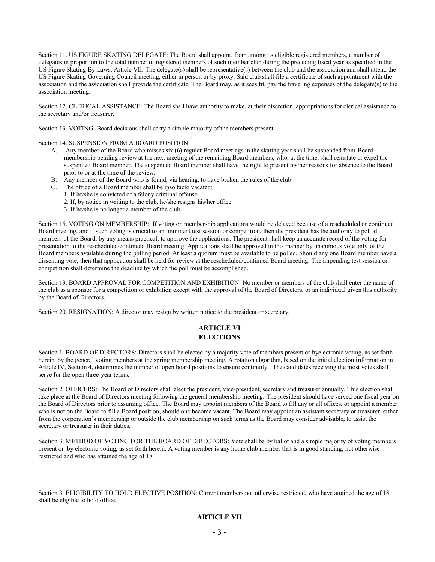Section 11. US FIGURE SKATING DELEGATE: The Board shall appoint, from among its eligible registered members, a number of delegates in proportion to the total number of registered members of such member club during the preceding fiscal year as specified in the US Figure Skating By Laws, Article VII. The delegate(s) shall be representative(s) between the club and the association and shall attend the US Figure Skating Governing Council meeting, either in person or by proxy. Said club shall file a certificate of such appointment with the association and the association shall provide the certificate. The Board may, as it sees fit, pay the traveling expenses of the delegate(s) to the association meeting.

Section 12. CLERICAL ASSISTANCE: The Board shall have authority to make, at their discretion, appropriations for clerical assistance to the secretary and/or treasurer.

Section 13. VOTING: Board decisions shall carry a simple majority of the members present.

Section 14. SUSPENSION FROM A BOARD POSITION:

- A. Any member of the Board who misses six (6) regular Board meetings in the skating year shall be suspended from Board membership pending review at the next meeting of the remaining Board members, who, at the time, shall reinstate or expel the suspended Board member. The suspended Board member shall have the right to present his/her reasons for absence to the Board prior to or at the time of the review.
- B. Any member of the Board who is found, via hearing, to have broken the rules of the club
- C. The office of a Board member shall be ipso facto vacated:
	- 1. If he/she is convicted of a felony criminal offense.
	- 2. If, by notice in writing to the club, he/she resigns his/her office.
	- 3. If he/she is no longer a member of the club.

Section 15. VOTING ON MEMBERSHIP: If voting on membership applications would be delayed because of a rescheduled or continued Board meeting, and if such voting is crucial to an imminent test session or competition, then the president has the authority to poll all members of the Board, by any means practical, to approve the applications. The president shall keep an accurate record of the voting for presentation to the rescheduled/continued Board meeting. Applications shall be approved in this manner by unanimous vote only of the Board members available during the polling period. At least a quorum must be available to be polled. Should any one Board member have a dissenting vote, then that application shall be held for review at the rescheduled/continued Board meeting. The impending test session or competition shall determine the deadline by which the poll must be accomplished.

Section 19. BOARD APPROVAL FOR COMPETITION AND EXHIBITION: No member or members of the club shall enter the name of the club as a sponsor for a competition or exhibition except with the approval of the Board of Directors, or an individual given this authority by the Board of Directors.

Section 20. RESIGNATION: A director may resign by written notice to the president or secretary.

# **ARTICLE VI ELECTIONS**

Section 1. BOARD OF DIRECTORS: Directors shall be elected by a majority vote of members present or byelectronic voting, as set forth herein, by the general voting members at the spring membership meeting. A rotation algorithm, based on the initial election information in Article IV, Section 4, determines the number of open board positions to ensure continuity. The candidates receiving the most votes shall serve for the open three-year terms.

Section 2. OFFICERS: The Board of Directors shall elect the president, vice-president, secretary and treasurer annually. This election shall take place at the Board of Directors meeting following the general membership meeting. The president should have served one fiscal year on the Board of Directors prior to assuming office. The Board may appoint members of the Board to fill any or all offices, or appoint a member who is not on the Board to fill a Board position, should one become vacant. The Board may appoint an assistant secretary or treasurer, either from the corporation's membership or outside the club membership on such terms as the Board may consider advisable, to assist the secretary or treasurer in their duties.

Section 3. METHOD OF VOTING FOR THE BOARD OF DIRECTORS: Vote shall be by ballot and a simple majority of voting members present or by electonic voting, as set forth herein. A voting member is any home club member that is in good standing, not otherwise restricted and who has attained the age of 18.

Section 3. ELIGIBILITY TO HOLD ELECTIVE POSITION: Current members not otherwise restricted, who have attained the age of 18 shall be eligible to hold office.

# **ARTICLE VII**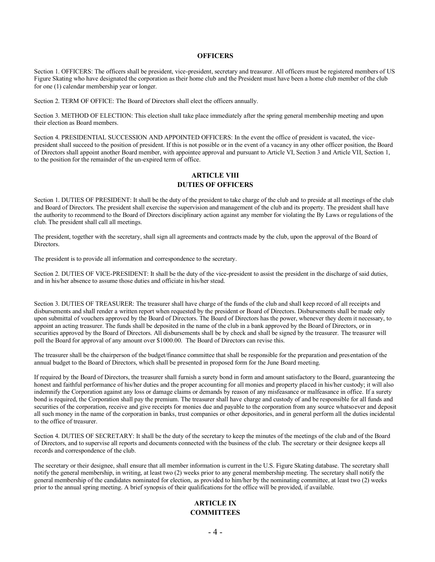#### **OFFICERS**

Section 1. OFFICERS: The officers shall be president, vice-president, secretary and treasurer. All officers must be registered members of US Figure Skating who have designated the corporation as their home club and the President must have been a home club member of the club for one (1) calendar membership year or longer.

Section 2. TERM OF OFFICE: The Board of Directors shall elect the officers annually.

Section 3. METHOD OF ELECTION: This election shall take place immediately after the spring general membership meeting and upon their election as Board members.

Section 4. PRESIDENTIAL SUCCESSION AND APPOINTED OFFICERS: In the event the office of president is vacated, the vicepresident shall succeed to the position of president. If this is not possible or in the event of a vacancy in any other officer position, the Board of Directors shall appoint another Board member, with appointee approval and pursuant to Article VI, Section 3 and Article VII, Section 1, to the position for the remainder of the un-expired term of office.

## **ARTICLE VIII DUTIES OF OFFICERS**

Section 1. DUTIES OF PRESIDENT: It shall be the duty of the president to take charge of the club and to preside at all meetings of the club and Board of Directors. The president shall exercise the supervision and management of the club and its property. The president shall have the authority to recommend to the Board of Directors disciplinary action against any member for violating the By Laws or regulations of the club. The president shall call all meetings.

The president, together with the secretary, shall sign all agreements and contracts made by the club, upon the approval of the Board of Directors.

The president is to provide all information and correspondence to the secretary.

Section 2. DUTIES OF VICE-PRESIDENT: It shall be the duty of the vice-president to assist the president in the discharge of said duties, and in his/her absence to assume those duties and officiate in his/her stead.

Section 3. DUTIES OF TREASURER: The treasurer shall have charge of the funds of the club and shall keep record of all receipts and disbursements and shall render a written report when requested by the president or Board of Directors. Disbursements shall be made only upon submittal of vouchers approved by the Board of Directors. The Board of Directors has the power, whenever they deem it necessary, to appoint an acting treasurer. The funds shall be deposited in the name of the club in a bank approved by the Board of Directors, or in securities approved by the Board of Directors. All disbursements shall be by check and shall be signed by the treasurer. The treasurer will poll the Board for approval of any amount over \$1000.00. The Board of Directors can revise this.

The treasurer shall be the chairperson of the budget/finance committee that shall be responsible for the preparation and presentation of the annual budget to the Board of Directors, which shall be presented in proposed form for the June Board meeting.

If required by the Board of Directors, the treasurer shall furnish a surety bond in form and amount satisfactory to the Board, guaranteeing the honest and faithful performance of his/her duties and the proper accounting for all monies and property placed in his/her custody; it will also indemnify the Corporation against any loss or damage claims or demands by reason of any misfeasance or malfeasance in office. If a surety bond is required, the Corporation shall pay the premium. The treasurer shall have charge and custody of and be responsible for all funds and securities of the corporation, receive and give receipts for monies due and payable to the corporation from any source whatsoever and deposit all such money in the name of the corporation in banks, trust companies or other depositories, and in general perform all the duties incidental to the office of treasurer.

Section 4. DUTIES OF SECRETARY: It shall be the duty of the secretary to keep the minutes of the meetings of the club and of the Board of Directors, and to supervise all reports and documents connected with the business of the club. The secretary or their designee keeps all records and correspondence of the club.

The secretary or their designee, shall ensure that all member information is current in the U.S. Figure Skating database. The secretary shall notify the general membership, in writing, at least two (2) weeks prior to any general membership meeting. The secretary shall notify the general membership of the candidates nominated for election, as provided to him/her by the nominating committee, at least two (2) weeks prior to the annual spring meeting. A brief synopsis of their qualifications for the office will be provided, if available.

### **ARTICLE IX COMMITTEES**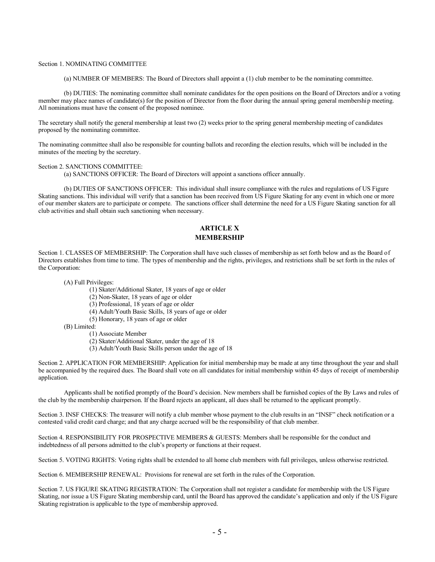#### Section 1. NOMINATING COMMITTEE

(a) NUMBER OF MEMBERS: The Board of Directors shall appoint a (1) club member to be the nominating committee.

(b) DUTIES: The nominating committee shall nominate candidates for the open positions on the Board of Directors and/or a voting member may place names of candidate(s) for the position of Director from the floor during the annual spring general membership meeting. All nominations must have the consent of the proposed nominee.

The secretary shall notify the general membership at least two (2) weeks prior to the spring general membership meeting of candidates proposed by the nominating committee.

The nominating committee shall also be responsible for counting ballots and recording the election results, which will be included in the minutes of the meeting by the secretary.

#### Section 2. SANCTIONS COMMITTEE:

(a) SANCTIONS OFFICER: The Board of Directors will appoint a sanctions officer annually.

(b) DUTIES OF SANCTIONS OFFICER: This individual shall insure compliance with the rules and regulations of US Figure Skating sanctions. This individual will verify that a sanction has been received from US Figure Skating for any event in which one or more of our member skaters are to participate or compete. The sanctions officer shall determine the need for a US Figure Skating sanction for all club activities and shall obtain such sanctioning when necessary.

## **ARTICLE X MEMBERSHIP**

Section 1. CLASSES OF MEMBERSHIP: The Corporation shall have such classes of membership as set forth below and as the Board of Directors establishes from time to time. The types of membership and the rights, privileges, and restrictions shall be set forth in the rules of the Corporation:

(A) Full Privileges:

(1) Skater/Additional Skater, 18 years of age or older

- (2) Non-Skater, 18 years of age or older
- (3) Professional, 18 years of age or older
- (4) Adult/Youth Basic Skills, 18 years of age or older
- (5) Honorary, 18 years of age or older
- (B) Limited:
	- (1) Associate Member
	- (2) Skater/Additional Skater, under the age of 18
	- (3) Adult/Youth Basic Skills person under the age of 18

Section 2. APPLICATION FOR MEMBERSHIP: Application for initial membership may be made at any time throughout the year and shall be accompanied by the required dues. The Board shall vote on all candidates for initial membership within 45 days of receipt of membership application.

Applicants shall be notified promptly of the Board's decision. New members shall be furnished copies of the By Laws and rules of the club by the membership chairperson. If the Board rejects an applicant, all dues shall be returned to the applicant promptly.

Section 3. INSF CHECKS: The treasurer will notify a club member whose payment to the club results in an "INSF" check notification or a contested valid credit card charge; and that any charge accrued will be the responsibility of that club member.

Section 4. RESPONSIBILITY FOR PROSPECTIVE MEMBERS & GUESTS: Members shall be responsible for the conduct and indebtedness of all persons admitted to the club's property or functions at their request.

Section 5. VOTING RIGHTS: Voting rights shall be extended to all home club members with full privileges, unless otherwise restricted.

Section 6. MEMBERSHIP RENEWAL: Provisions for renewal are set forth in the rules of the Corporation.

Section 7. US FIGURE SKATING REGISTRATION: The Corporation shall not register a candidate for membership with the US Figure Skating, nor issue a US Figure Skating membership card, until the Board has approved the candidate's application and only if the US Figure Skating registration is applicable to the type of membership approved.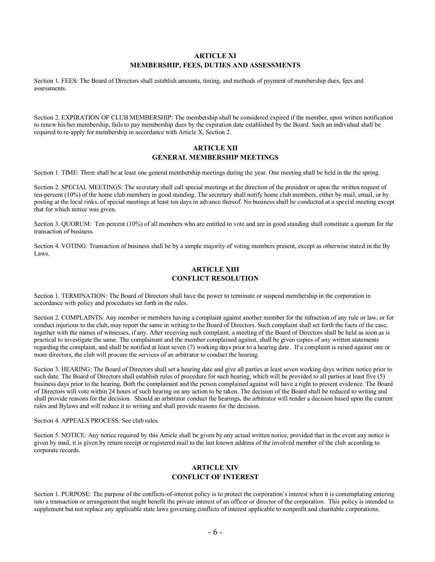#### **ARTICLE XI MEMBERSHIP, FEES, DUTIES AND ASSESSMENTS**

Section 1. FEES: The Board of Directors shall establish amounts, timing, and methods of payment of membership dues, fees and assessments.

Section 2. EXPIRATION OF CLUB MEMBERSHIP: The membership shall be considered expired if the member, upon written notification to renew his/her membership, fails to pay membership dues by the expiration date established by the Board. Such an individual shall be required to re-apply for membership in accordance with Article X, Section 2.

#### **ARTICLE XII GENERAL MEMBERSHIP MEETINGS**

Section 1. TIME: There shall be at least one general membership meetings during the year. One meeting shall be held in the the spring.

Section 2. SPECIAL MEETINGS: The secretary shall call special meetings at the direction of the president or upon the written request of ten-percent (10%) of the home club members in good standing. The secretary shall notify home club members, either by mail, email, or by posting at the local rinks, of special meetings at least ten days in advance thereof. No business shall be conducted at a special meeting except that for which notice was given.

Section 3. QUORUM: Ten percent (10%) of all members who are entitled to vote and are in good standing shall constitute a quorum for the transaction of business.

Section 4. VOTING: Transaction of business shall be by a simple majority of voting members present, except as otherwise stated in the By Laws.

## **ARTICLE XIII CONFLICT RESOLUTION**

Section 1. TERMINATION: The Board of Directors shall have the power to terminate or suspend membership in the corporation in accordance with policy and procedures set forth in the rules.

Section 2. COMPLAINTS: Any member or members having a complaint against another member for the infraction of any rule or law, or for conduct injurious to the club, may report the same in writing to the Board of Directors. Such complaint shall set forth the facts of the case, together with the names of witnesses, if any. After receiving such complaint, a meeting of the Board of Directors shall be held as soon as is practical to investigate the same. The complainant and the member complained against, shall be given copies of any written statements regarding the complaint, and shall be notified at least seven (7) working days prior to a hearing date. If a complaint is raised against one or more directors, the club will procure the services of an arbitrator to conduct the hearing.

Section 3. HEARING: The Board of Directors shall set a hearing date and give all parties at least seven working days written notice prior to such date. The Board of Directors shall establish rules of procedure for such hearing, which will be provided to all parties at least five (5) business days prior to the hearing. Both the complainant and the person complained against will have a right to present evidence. The Board of Directors will vote within 24 hours of such hearing on any action to be taken. The decision of the Board shall be reduced to writing and shall provide reasons for the decision. Should an arbitrator conduct the hearings, the arbitrator will render a decision based upon the current rules and Bylaws and will reduce it to writing and shall provide reasons for the decision.

Section 4. APPEALS PROCESS: See club rules.

Section 5. NOTICE: Any notice required by this Article shall be given by any actual written notice, provided that in the event any notice is given by mail, it is given by return receipt or registered mail to the last known address of the involved member of the club according to corporate records.

## **ARTICLE XIV CONFLICT OF INTEREST**

Section 1. PURPOSE: The purpose of the conflicts-of-interest policy is to protect the corporation's interest when it is contemplating entering into a transaction or arrangement that might benefit the private interest of an officer or director of the corporation. This policy is intended to supplement but not replace any applicable state laws governing conflicts of interest applicable to nonprofit and charitable corporations.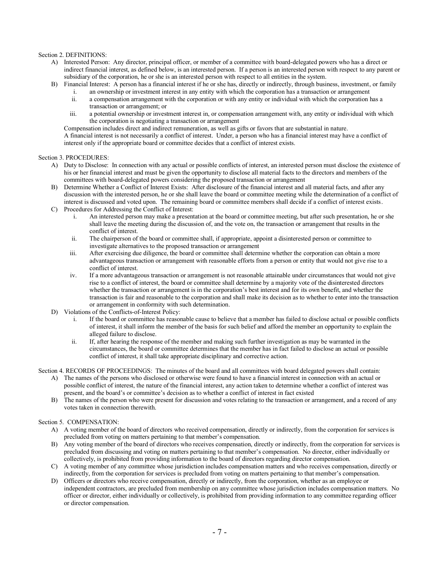#### Section 2. DEFINITIONS:

- A) Interested Person: Any director, principal officer, or member of a committee with board-delegated powers who has a direct or indirect financial interest, as defined below, is an interested person. If a person is an interested person with respect to any parent or subsidiary of the corporation, he or she is an interested person with respect to all entities in the system.
- B) Financial Interest: A person has a financial interest if he or she has, directly or indirectly, through business, investment, or family i. an ownership or investment interest in any entity with which the corporation has a transaction or arrangement
	- ii. a compensation arrangement with the corporation or with any entity or individual with which the corporation has a transaction or arrangement; or
	- iii. a potential ownership or investment interest in, or compensation arrangement with, any entity or individual with which the corporation is negotiating a transaction or arrangement

Compensation includes direct and indirect remuneration, as well as gifts or favors that are substantial in nature. A financial interest is not necessarily a conflict of interest. Under, a person who has a financial interest may have a conflict of interest only if the appropriate board or committee decides that a conflict of interest exists.

#### Section 3. PROCEDURES:

- A) Duty to Disclose: In connection with any actual or possible conflicts of interest, an interested person must disclose the existence of his or her financial interest and must be given the opportunity to disclose all material facts to the directors and members of the committees with board-delegated powers considering the proposed transaction or arrangement
- B) Determine Whether a Conflict of Interest Exists: After disclosure of the financial interest and all material facts, and after any discussion with the interested person, he or she shall leave the board or committee meeting while the determination of a conflict of interest is discussed and voted upon. The remaining board or committee members shall decide if a conflict of interest exists.
- C) Procedures for Addressing the Conflict of Interest:
	- i. An interested person may make a presentation at the board or committee meeting, but after such presentation, he or she shall leave the meeting during the discussion of, and the vote on, the transaction or arrangement that results in the conflict of interest.
	- ii. The chairperson of the board or committee shall, if appropriate, appoint a disinterested person or committee to investigate alternatives to the proposed transaction or arrangement
	- iii. After exercising due diligence, the board or committee shall determine whether the corporation can obtain a more advantageous transaction or arrangement with reasonable efforts from a person or entity that would not give rise to a conflict of interest.
	- iv. If a more advantageous transaction or arrangement is not reasonable attainable under circumstances that would not give rise to a conflict of interest, the board or committee shall determine by a majority vote of the disinterested directors whether the transaction or arrangement is in the corporation's best interest and for its own benefit, and whether the transaction is fair and reasonable to the corporation and shall make its decision as to whether to enter into the transaction or arrangement in conformity with such determination.
- D) Violations of the Conflicts-of-Interest Policy:
	- i. If the board or committee has reasonable cause to believe that a member has failed to disclose actual or possible conflicts of interest, it shall inform the member of the basis for such belief and afford the member an opportunity to explain the alleged failure to disclose.
	- ii. If, after hearing the response of the member and making such further investigation as may be warranted in the circumstances, the board or committee determines that the member has in fact failed to disclose an actual or possible conflict of interest, it shall take appropriate disciplinary and corrective action.

Section 4. RECORDS OF PROCEEDINGS: The minutes of the board and all committees with board delegated powers shall contain:

- A) The names of the persons who disclosed or otherwise were found to have a financial interest in connection with an actual or possible conflict of interest, the nature of the financial interest, any action taken to determine whether a conflict of interest was present, and the board's or committee's decision as to whether a conflict of interest in fact existed
- B) The names of the person who were present for discussion and votes relating to the transaction or arrangement, and a record of any votes taken in connection therewith.

#### Section 5. COMPENSATION:

- A) A voting member of the board of directors who received compensation, directly or indirectly, from the corporation for services is precluded from voting on matters pertaining to that member's compensation.
- B) Any voting member of the board of directors who receives compensation, directly or indirectly, from the corporation for services is precluded from discussing and voting on matters pertaining to that member's compensation. No director, either individually or collectively, is prohibited from providing information to the board of directors regarding director compensation.
- C) A voting member of any committee whose jurisdiction includes compensation matters and who receives compensation, directly or indirectly, from the corporation for services is precluded from voting on matters pertaining to that member's compensation.
- D) Officers or directors who receive compensation, directly or indirectly, from the corporation, whether as an employee or independent contractors, are precluded from membership on any committee whose jurisdiction includes compensation matters. No officer or director, either individually or collectively, is prohibited from providing information to any committee regarding officer or director compensation.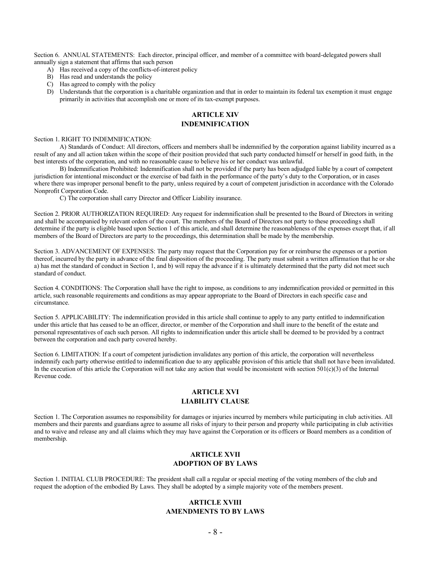Section 6. ANNUAL STATEMENTS: Each director, principal officer, and member of a committee with board-delegated powers shall annually sign a statement that affirms that such person

- A) Has received a copy of the conflicts-of-interest policy
- B) Has read and understands the policy
- C) Has agreed to comply with the policy
- D) Understands that the corporation is a charitable organization and that in order to maintain its federal tax exemption it must engage primarily in activities that accomplish one or more of its tax-exempt purposes.

## **ARTICLE XIV INDEMNIFICATION**

Section 1. RIGHT TO INDEMNIFICATION:

A) Standards of Conduct: All directors, officers and members shall be indemnified by the corporation against liability incurred as a result of any and all action taken within the scope of their position provided that such party conducted himself or herself in good faith, in the best interests of the corporation, and with no reasonable cause to believe his or her conduct was unlawful.

B) Indemnification Prohibited: Indemnification shall not be provided if the party has been adjudged liable by a court of competent jurisdiction for intentional misconduct or the exercise of bad faith in the performance of the party's duty to the Corporation, or in cases where there was improper personal benefit to the party, unless required by a court of competent jurisdiction in accordance with the Colorado Nonprofit Corporation Code.

C) The corporation shall carry Director and Officer Liability insurance.

Section 2. PRIOR AUTHORIZATION REQUIRED: Any request for indemnification shall be presented to the Board of Directors in writing and shall be accompanied by relevant orders of the court. The members of the Board of Directors not party to these proceedings shall determine if the party is eligible based upon Section 1 of this article, and shall determine the reasonableness of the expenses except that, if all members of the Board of Directors are party to the proceedings, this determination shall be made by the membership.

Section 3. ADVANCEMENT OF EXPENSES: The party may request that the Corporation pay for or reimburse the expenses or a portion thereof, incurred by the party in advance of the final disposition of the proceeding. The party must submit a written affirmation that he or she a) has met the standard of conduct in Section 1, and b) will repay the advance if it is ultimately determined that the party did not meet such standard of conduct.

Section 4. CONDITIONS: The Corporation shall have the right to impose, as conditions to any indemnification provided or permitted in this article, such reasonable requirements and conditions as may appear appropriate to the Board of Directors in each specific case and circumstance.

Section 5. APPLICABILITY: The indemnification provided in this article shall continue to apply to any party entitled to indemnification under this article that has ceased to be an officer, director, or member of the Corporation and shall inure to the benefit of the estate and personal representatives of each such person. All rights to indemnification under this article shall be deemed to be provided by a contract between the corporation and each party covered hereby.

Section 6. LIMITATION: If a court of competent jurisdiction invalidates any portion of this article, the corporation will nevertheless indemnify each party otherwise entitled to indemnification due to any applicable provision of this article that shall not have been invalidated. In the execution of this article the Corporation will not take any action that would be inconsistent with section  $501(c)(3)$  of the Internal Revenue code.

#### **ARTICLE XVI LIABILITY CLAUSE**

Section 1. The Corporation assumes no responsibility for damages or injuries incurred by members while participating in club activities. All members and their parents and guardians agree to assume all risks of injury to their person and property while participating in club activities and to waive and release any and all claims which they may have against the Corporation or its officers or Board members as a condition of membership.

### **ARTICLE XVII ADOPTION OF BY LAWS**

Section 1. INITIAL CLUB PROCEDURE: The president shall call a regular or special meeting of the voting members of the club and request the adoption of the embodied By Laws. They shall be adopted by a simple majority vote of the members present.

## **ARTICLE XVIII AMENDMENTS TO BY LAWS**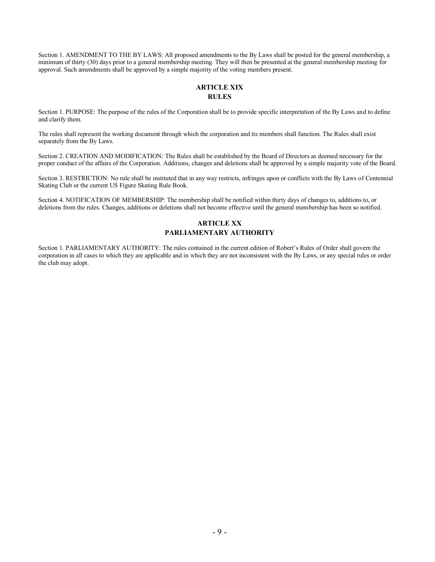Section 1. AMENDMENT TO THE BY LAWS: All proposed amendments to the By Laws shall be posted for the general membership, a minimum of thirty (30) days prior to a general membership meeting. They will then be presented at the general membership meeting for approval. Such amendments shall be approved by a simple majority of the voting members present.

## **ARTICLE XIX RULES**

Section 1. PURPOSE: The purpose of the rules of the Corporation shall be to provide specific interpretation of the By Laws and to define and clarify them.

The rules shall represent the working document through which the corporation and its members shall function. The Rules shall exist separately from the By Laws.

Section 2. CREATION AND MODIFICATION: The Rules shall be established by the Board of Directors as deemed necessary for the proper conduct of the affairs of the Corporation. Additions, changes and deletions shall be approved by a simple majority vote of the Board.

Section 3. RESTRICTION: No rule shall be instituted that in any way restricts, infringes upon or conflicts with the By Laws of Centennial Skating Club or the current US Figure Skating Rule Book.

Section 4. NOTIFICATION OF MEMBERSHIP: The membership shall be notified within thirty days of changes to, additions to, or deletions from the rules. Changes, additions or deletions shall not become effective until the general membership has been so notified.

# **ARTICLE XX PARLIAMENTARY AUTHORITY**

Section 1. PARLIAMENTARY AUTHORITY: The rules contained in the current edition of Robert's Rules of Order shall govern the corporation in all cases to which they are applicable and in which they are not inconsistent with the By Laws, or any special rules or order the club may adopt.